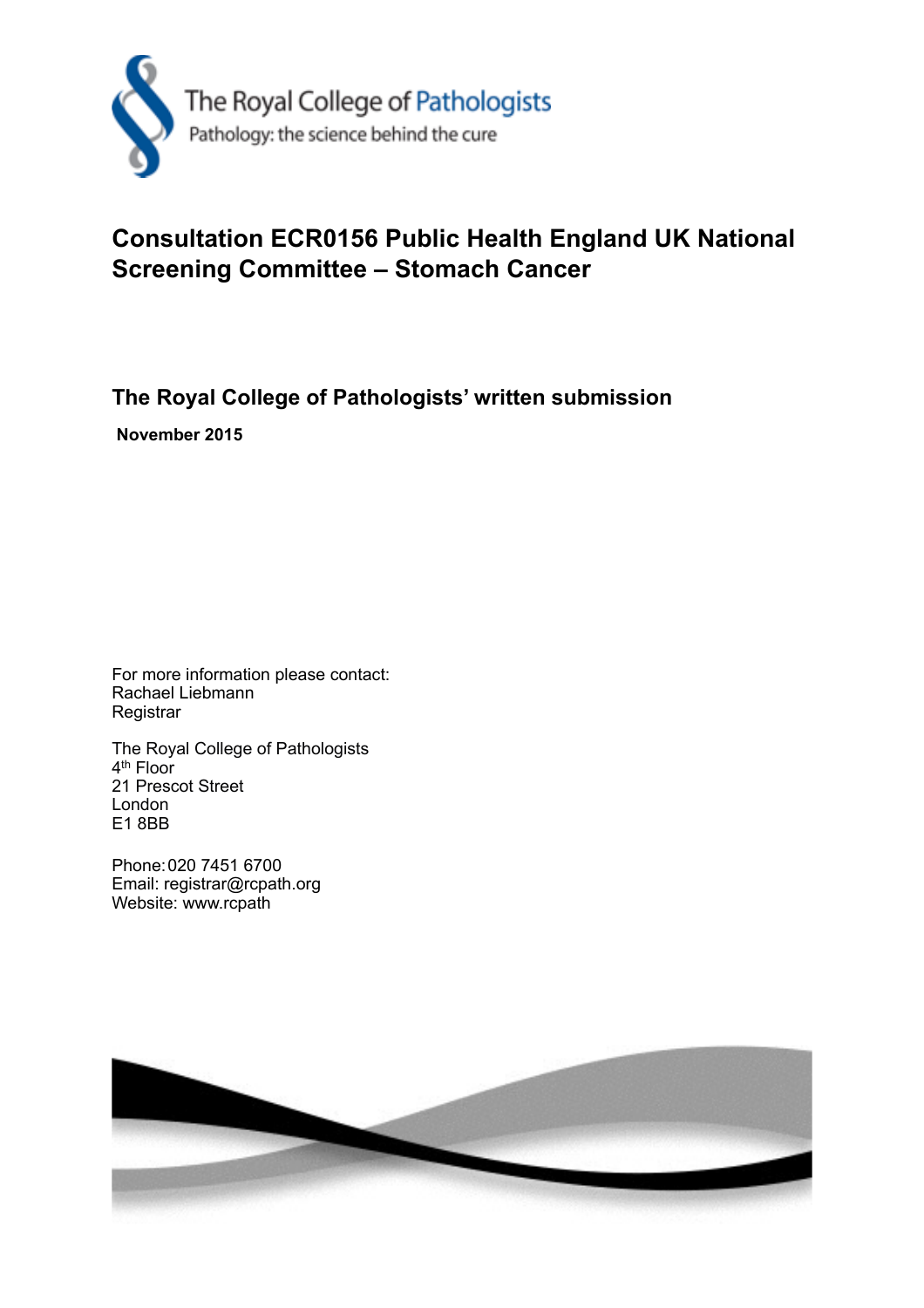

## **Consultation ECR0156 Public Health England UK National Screening Committee – Stomach Cancer**

## **The Royal College of Pathologists' written submission**

 **November 2015** 

For more information please contact: Rachael Liebmann **Registrar** 

The Royal College of Pathologists 4th Floor 21 Prescot Street London E1 8BB

Phone: 020 7451 6700 Email: registrar@rcpath.org Website: www.rcpath